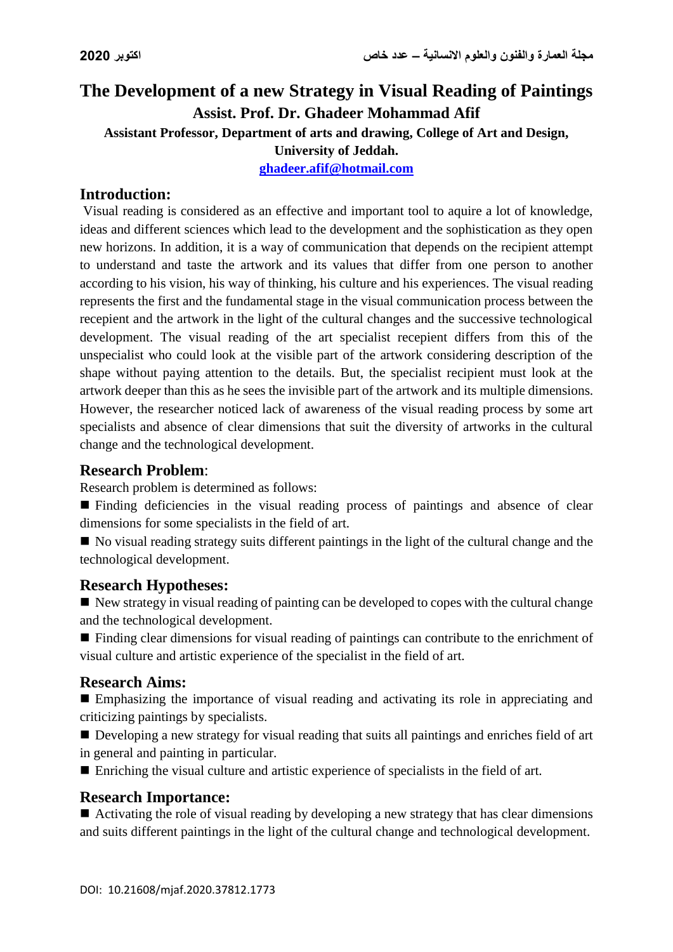# **The Development of a new Strategy in Visual Reading of Paintings Assist. Prof. Dr. Ghadeer Mohammad Afif**

**Assistant Professor, Department of arts and drawing, College of Art and Design,** 

#### **University of Jeddah.**

**[ghadeer.afif@hotmail.com](mailto:ghadeer.afif@hotmail.com)**

### **Introduction:**

Visual reading is considered as an effective and important tool to aquire a lot of knowledge, ideas and different sciences which lead to the development and the sophistication as they open new horizons. In addition, it is a way of communication that depends on the recipient attempt to understand and taste the artwork and its values that differ from one person to another according to his vision, his way of thinking, his culture and his experiences. The visual reading represents the first and the fundamental stage in the visual communication process between the recepient and the artwork in the light of the cultural changes and the successive technological development. The visual reading of the art specialist recepient differs from this of the unspecialist who could look at the visible part of the artwork considering description of the shape without paying attention to the details. But, the specialist recipient must look at the artwork deeper than this as he sees the invisible part of the artwork and its multiple dimensions. However, the researcher noticed lack of awareness of the visual reading process by some art specialists and absence of clear dimensions that suit the diversity of artworks in the cultural change and the technological development.

# **Research Problem**:

Research problem is determined as follows:

 Finding deficiencies in the visual reading process of paintings and absence of clear dimensions for some specialists in the field of art.

No visual reading strategy suits different paintings in the light of the cultural change and the technological development.

#### **Research Hypotheses:**

 $\blacksquare$  New strategy in visual reading of painting can be developed to copes with the cultural change and the technological development.

■ Finding clear dimensions for visual reading of paintings can contribute to the enrichment of visual culture and artistic experience of the specialist in the field of art.

#### **Research Aims:**

 Emphasizing the importance of visual reading and activating its role in appreciating and criticizing paintings by specialists.

Developing a new strategy for visual reading that suits all paintings and enriches field of art in general and painting in particular.

Enriching the visual culture and artistic experience of specialists in the field of art.

#### **Research Importance:**

Activating the role of visual reading by developing a new strategy that has clear dimensions and suits different paintings in the light of the cultural change and technological development.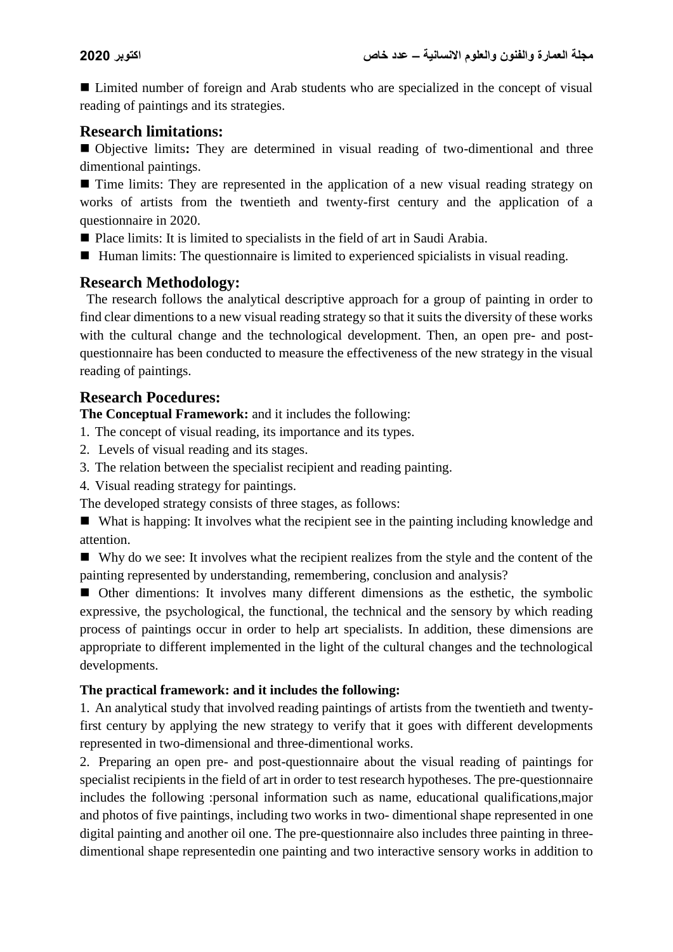■ Limited number of foreign and Arab students who are specialized in the concept of visual reading of paintings and its strategies.

#### **Research limitations:**

 Objective limits**:** They are determined in visual reading of two-dimentional and three dimentional paintings.

■ Time limits: They are represented in the application of a new visual reading strategy on works of artists from the twentieth and twenty-first century and the application of a questionnaire in 2020.

- Place limits: It is limited to specialists in the field of art in Saudi Arabia.
- Human limits: The questionnaire is limited to experienced spicialists in visual reading.

#### **Research Methodology:**

 The research follows the analytical descriptive approach for a group of painting in order to find clear dimentions to a new visual reading strategy so that it suits the diversity of these works with the cultural change and the technological development. Then, an open pre- and postquestionnaire has been conducted to measure the effectiveness of the new strategy in the visual reading of paintings.

#### **Research Pocedures:**

**The Conceptual Framework:** and it includes the following:

- 1. The concept of visual reading, its importance and its types.
- 2. Levels of visual reading and its stages.
- 3. The relation between the specialist recipient and reading painting.
- 4. Visual reading strategy for paintings.

The developed strategy consists of three stages, as follows:

 What is happing: It involves what the recipient see in the painting including knowledge and attention.

Why do we see: It involves what the recipient realizes from the style and the content of the painting represented by understanding, remembering, conclusion and analysis?

 Other dimentions: It involves many different dimensions as the esthetic, the symbolic expressive, the psychological, the functional, the technical and the sensory by which reading process of paintings occur in order to help art specialists. In addition, these dimensions are appropriate to different implemented in the light of the cultural changes and the technological developments.

#### **The practical framework: and it includes the following:**

1. An analytical study that involved reading paintings of artists from the twentieth and twentyfirst century by applying the new strategy to verify that it goes with different developments represented in two-dimensional and three-dimentional works.

2. Preparing an open pre- and post-questionnaire about the visual reading of paintings for specialist recipients in the field of art in order to test research hypotheses. The pre-questionnaire includes the following :personal information such as name, educational qualifications,major and photos of five paintings, including two works in two- dimentional shape represented in one digital painting and another oil one. The pre-questionnaire also includes three painting in threedimentional shape representedin one painting and two interactive sensory works in addition to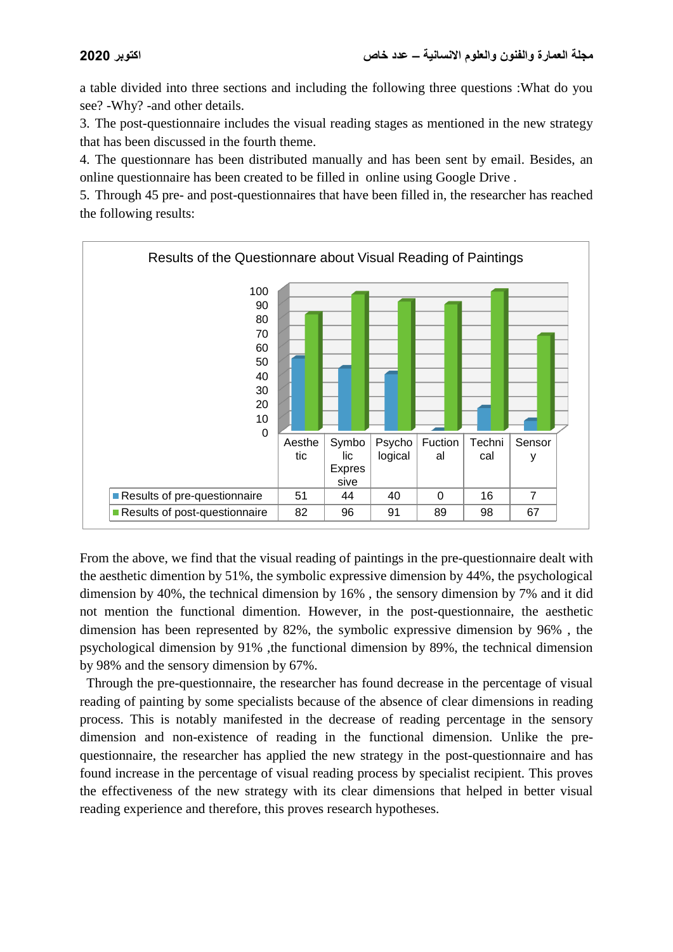a table divided into three sections and including the following three questions :What do you see? -Why? -and other details.

3. The post-questionnaire includes the visual reading stages as mentioned in the new strategy that has been discussed in the fourth theme.

4. The questionnare has been distributed manually and has been sent by email. Besides, an online questionnaire has been created to be filled in online using Google Drive .

5. Through 45 pre- and post-questionnaires that have been filled in, the researcher has reached the following results:



From the above, we find that the visual reading of paintings in the pre-questionnaire dealt with the aesthetic dimention by 51%, the symbolic expressive dimension by 44%, the psychological dimension by 40%, the technical dimension by 16% , the sensory dimension by 7% and it did not mention the functional dimention. However, in the post-questionnaire, the aesthetic dimension has been represented by 82%, the symbolic expressive dimension by 96% , the psychological dimension by 91% ,the functional dimension by 89%, the technical dimension by 98% and the sensory dimension by 67%.

 Through the pre-questionnaire, the researcher has found decrease in the percentage of visual reading of painting by some specialists because of the absence of clear dimensions in reading process. This is notably manifested in the decrease of reading percentage in the sensory dimension and non-existence of reading in the functional dimension. Unlike the prequestionnaire, the researcher has applied the new strategy in the post-questionnaire and has found increase in the percentage of visual reading process by specialist recipient. This proves the effectiveness of the new strategy with its clear dimensions that helped in better visual reading experience and therefore, this proves research hypotheses.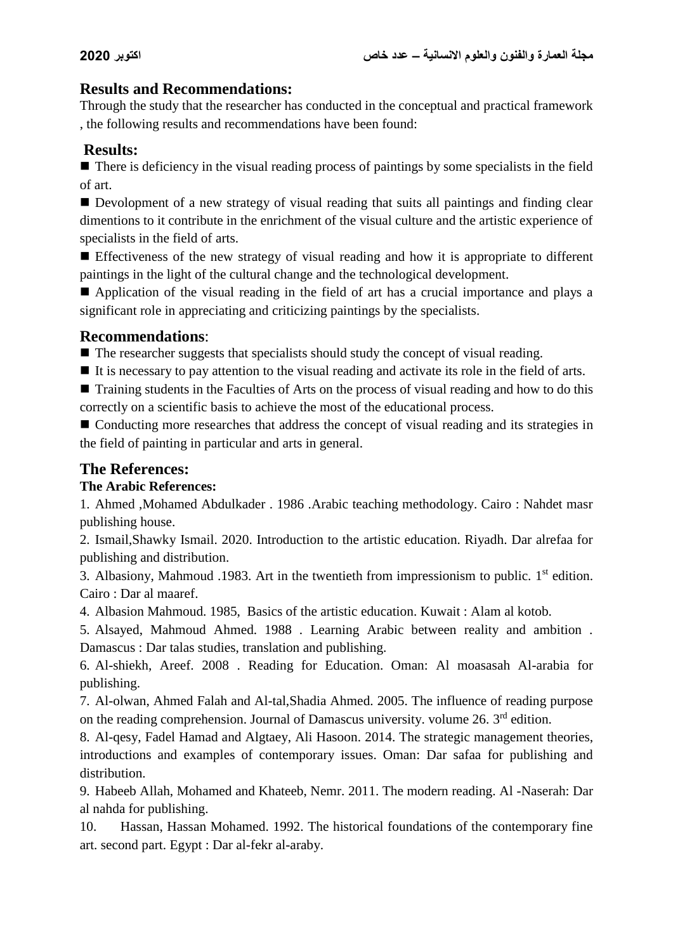# **Results and Recommendations:**

Through the study that the researcher has conducted in the conceptual and practical framework , the following results and recommendations have been found:

# **Results:**

 $\blacksquare$  There is deficiency in the visual reading process of paintings by some specialists in the field of art.

Devolopment of a new strategy of visual reading that suits all paintings and finding clear dimentions to it contribute in the enrichment of the visual culture and the artistic experience of specialists in the field of arts.

 Effectiveness of the new strategy of visual reading and how it is appropriate to different paintings in the light of the cultural change and the technological development.

Application of the visual reading in the field of art has a crucial importance and plays a significant role in appreciating and criticizing paintings by the specialists.

#### **Recommendations**:

 $\blacksquare$  The researcher suggests that specialists should study the concept of visual reading.

 $\blacksquare$  It is necessary to pay attention to the visual reading and activate its role in the field of arts.

■ Training students in the Faculties of Arts on the process of visual reading and how to do this correctly on a scientific basis to achieve the most of the educational process.

■ Conducting more researches that address the concept of visual reading and its strategies in the field of painting in particular and arts in general.

# **The References:**

#### **The Arabic References:**

1. Ahmed ,Mohamed Abdulkader . 1986 .Arabic teaching methodology. Cairo : Nahdet masr publishing house.

2. Ismail,Shawky Ismail. 2020. Introduction to the artistic education. Riyadh. Dar alrefaa for publishing and distribution.

3. Albasiony, Mahmoud .1983. Art in the twentieth from impressionism to public.  $1<sup>st</sup>$  edition. Cairo : Dar al maaref.

4. Albasion Mahmoud. 1985, Basics of the artistic education. Kuwait : Alam al kotob.

5. Alsayed, Mahmoud Ahmed. 1988 . Learning Arabic between reality and ambition . Damascus : Dar talas studies, translation and publishing.

6. Al-shiekh, Areef. 2008 . Reading for Education. Oman: Al moasasah Al-arabia for publishing.

7. Al-olwan, Ahmed Falah and Al-tal,Shadia Ahmed. 2005. The influence of reading purpose on the reading comprehension. Journal of Damascus university. volume 26. 3<sup>rd</sup> edition.

8. Al-qesy, Fadel Hamad and Algtaey, Ali Hasoon. 2014. The strategic management theories, introductions and examples of contemporary issues. Oman: Dar safaa for publishing and distribution.

9. Habeeb Allah, Mohamed and Khateeb, Nemr. 2011. The modern reading. Al -Naserah: Dar al nahda for publishing.

10. Hassan, Hassan Mohamed. 1992. The historical foundations of the contemporary fine art. second part. Egypt : Dar al-fekr al-araby.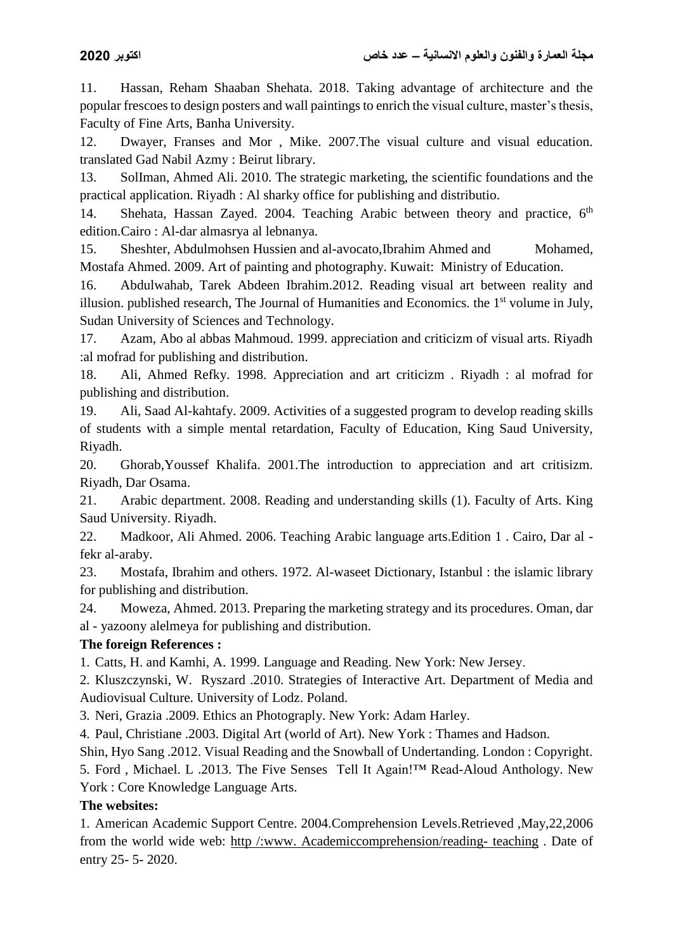11. Hassan, Reham Shaaban Shehata. 2018. Taking advantage of architecture and the popular frescoes to design posters and wall paintings to enrich the visual culture, master's thesis, Faculty of Fine Arts, Banha University.

12. Dwayer, Franses and Mor , Mike. 2007.The visual culture and visual education. translated Gad Nabil Azmy : Beirut library.

13. SolIman, Ahmed Ali. 2010. The strategic marketing, the scientific foundations and the practical application. Riyadh : Al sharky office for publishing and distributio.

14. Shehata, Hassan Zayed. 2004. Teaching Arabic between theory and practice, 6<sup>th</sup> edition.Cairo : Al-dar almasrya al lebnanya.

15. Sheshter, Abdulmohsen Hussien and al-avocato,Ibrahim Ahmed and Mohamed, Mostafa Ahmed. 2009. Art of painting and photography. Kuwait: Ministry of Education.

16. Abdulwahab, Tarek Abdeen Ibrahim.2012. Reading visual art between reality and illusion. published research, The Journal of Humanities and Economics. the  $1<sup>st</sup>$  volume in July, Sudan University of Sciences and Technology.

17. Azam, Abo al abbas Mahmoud. 1999. appreciation and criticizm of visual arts. Riyadh :al mofrad for publishing and distribution.

18. Ali, Ahmed Refky. 1998. Appreciation and art criticizm . Riyadh : al mofrad for publishing and distribution.

19. Ali, Saad Al-kahtafy. 2009. Activities of a suggested program to develop reading skills of students with a simple mental retardation, Faculty of Education, King Saud University, Riyadh.

20. Ghorab,Youssef Khalifa. 2001.The introduction to appreciation and art critisizm. Riyadh, Dar Osama.

21. Arabic department. 2008. Reading and understanding skills (1). Faculty of Arts. King Saud University. Riyadh.

22. Madkoor, Ali Ahmed. 2006. Teaching Arabic language arts.Edition 1 . Cairo, Dar al fekr al-araby.

23. Mostafa, Ibrahim and others. 1972. Al-waseet Dictionary, Istanbul : the islamic library for publishing and distribution.

24. Moweza, Ahmed. 2013. Preparing the marketing strategy and its procedures. Oman, dar al - yazoony alelmeya for publishing and distribution.

# **The foreign References :**

1. Catts, H. and Kamhi, A. 1999. Language and Reading. New York: New Jersey.

2. Kluszczynski, W. Ryszard .2010. Strategies of Interactive Art. Department of Media and Audiovisual Culture. University of Lodz. Poland.

3. Neri, Grazia .2009. Ethics an Photograply. New York: Adam Harley.

4. Paul, Christiane .2003. Digital Art (world of Art). New York : Thames and Hadson.

Shin, Hyo Sang .2012. Visual Reading and the Snowball of Undertanding. London : Copyright. 5. Ford , Michael. L .2013. The Five Senses Tell It Again!™ Read-Aloud Anthology. New York : Core Knowledge Language Arts.

#### **The websites:**

1. American Academic Support Centre. 2004.Comprehension Levels.Retrieved ,May,22,2006 from the world wide web: http /:www. Academiccomprehension/reading- teaching . Date of entry 25- 5- 2020.